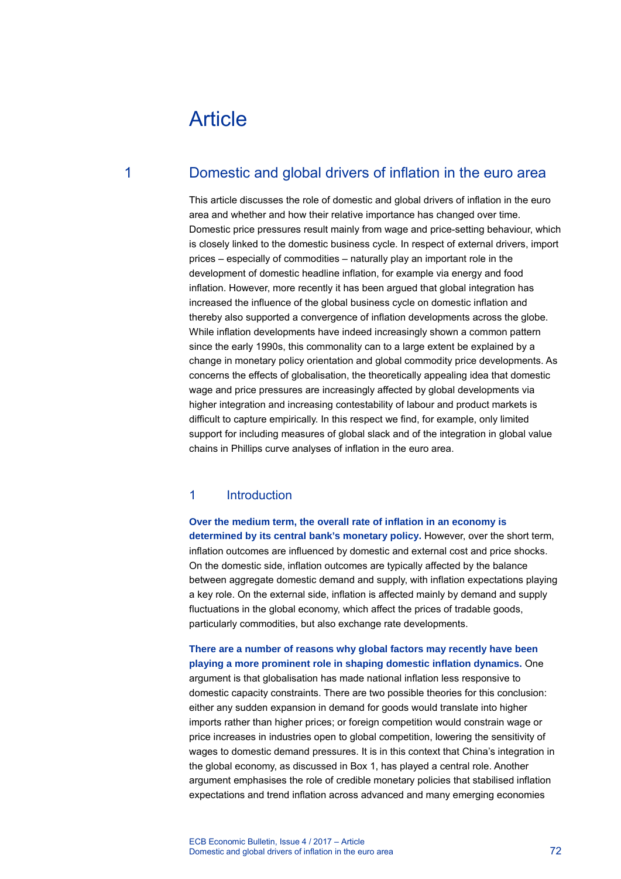# Article

## 1 Domestic and global drivers of inflation in the euro area

This article discusses the role of domestic and global drivers of inflation in the euro area and whether and how their relative importance has changed over time. Domestic price pressures result mainly from wage and price-setting behaviour, which is closely linked to the domestic business cycle. In respect of external drivers, import prices – especially of commodities – naturally play an important role in the development of domestic headline inflation, for example via energy and food inflation. However, more recently it has been argued that global integration has increased the influence of the global business cycle on domestic inflation and thereby also supported a convergence of inflation developments across the globe. While inflation developments have indeed increasingly shown a common pattern since the early 1990s, this commonality can to a large extent be explained by a change in monetary policy orientation and global commodity price developments. As concerns the effects of globalisation, the theoretically appealing idea that domestic wage and price pressures are increasingly affected by global developments via higher integration and increasing contestability of labour and product markets is difficult to capture empirically. In this respect we find, for example, only limited support for including measures of global slack and of the integration in global value chains in Phillips curve analyses of inflation in the euro area.

### 1 Introduction

**Over the medium term, the overall rate of inflation in an economy is determined by its central bank's monetary policy.** However, over the short term, inflation outcomes are influenced by domestic and external cost and price shocks. On the domestic side, inflation outcomes are typically affected by the balance between aggregate domestic demand and supply, with inflation expectations playing a key role. On the external side, inflation is affected mainly by demand and supply fluctuations in the global economy, which affect the prices of tradable goods, particularly commodities, but also exchange rate developments.

**There are a number of reasons why global factors may recently have been playing a more prominent role in shaping domestic inflation dynamics.** One argument is that globalisation has made national inflation less responsive to domestic capacity constraints. There are two possible theories for this conclusion: either any sudden expansion in demand for goods would translate into higher imports rather than higher prices; or foreign competition would constrain wage or price increases in industries open to global competition, lowering the sensitivity of wages to domestic demand pressures. It is in this context that China's integration in the global economy, as discussed in Box 1, has played a central role. Another argument emphasises the role of credible monetary policies that stabilised inflation expectations and trend inflation across advanced and many emerging economies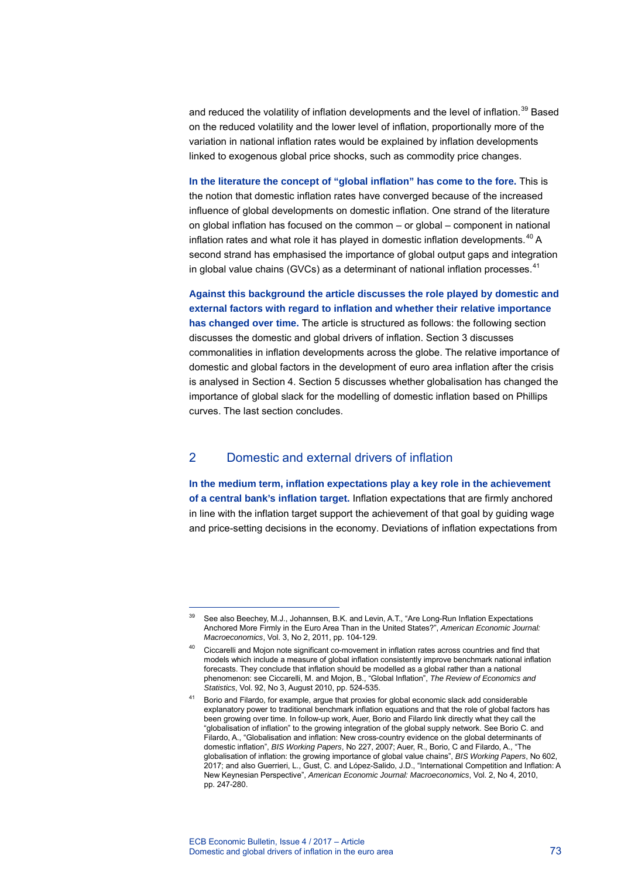and reduced the volatility of inflation developments and the level of inflation.<sup>[3](#page-1-0)9</sup> Based on the reduced volatility and the lower level of inflation, proportionally more of the variation in national inflation rates would be explained by inflation developments linked to exogenous global price shocks, such as commodity price changes.

**In the literature the concept of "global inflation" has come to the fore.** This is the notion that domestic inflation rates have converged because of the increased influence of global developments on domestic inflation. One strand of the literature on global inflation has focused on the common – or global – component in national inflation rates and what role it has played in domestic inflation developments. $40$  $40$  A second strand has emphasised the importance of global output gaps and integration in global value chains (GVCs) as a determinant of national inflation processes. $41$  $41$ 

**Against this background the article discusses the role played by domestic and external factors with regard to inflation and whether their relative importance has changed over time.** The article is structured as follows: the following section discusses the domestic and global drivers of inflation. Section 3 discusses commonalities in inflation developments across the globe. The relative importance of domestic and global factors in the development of euro area inflation after the crisis is analysed in Section 4. Section 5 discusses whether globalisation has changed the importance of global slack for the modelling of domestic inflation based on Phillips curves. The last section concludes.

### 2 Domestic and external drivers of inflation

**In the medium term, inflation expectations play a key role in the achievement of a central bank's inflation target.** Inflation expectations that are firmly anchored in line with the inflation target support the achievement of that goal by guiding wage and price-setting decisions in the economy. Deviations of inflation expectations from

See also Beechey, M.J., Johannsen, B.K. and Levin, A.T., "Are Long-Run Inflation Expectations Anchored More Firmly in the Euro Area Than in the United States?", *American Economic Journal: Macroeconomics*, Vol. 3, No 2, 2011, pp. 104-129.

<span id="page-1-1"></span><span id="page-1-0"></span><sup>&</sup>lt;sup>40</sup> Ciccarelli and Mojon note significant co-movement in inflation rates across countries and find that models which include a measure of global inflation consistently improve benchmark national inflation forecasts. They conclude that inflation should be modelled as a global rather than a national phenomenon: see Ciccarelli, M. and Mojon, B., "Global Inflation", *The Review of Economics and Statistics*, Vol. 92, No 3, August 2010, pp. 524-535.

<span id="page-1-2"></span><sup>41</sup> Borio and Filardo, for example, argue that proxies for global economic slack add considerable explanatory power to traditional benchmark inflation equations and that the role of global factors has been growing over time. In follow-up work, Auer, Borio and Filardo link directly what they call the "globalisation of inflation" to the growing integration of the global supply network. See Borio C. and Filardo, A., "Globalisation and inflation: New cross-country evidence on the global determinants of domestic inflation", *BIS Working Papers*, No 227, 2007; Auer, R., Borio, C and Filardo, A., "The globalisation of inflation: the growing importance of global value chains", *BIS Working Papers*, No 602, 2017; and also Guerrieri, L., Gust, C. and López-Salido, J.D., "International Competition and Inflation: A New Keynesian Perspective", *American Economic Journal: Macroeconomics*, Vol. 2, No 4, 2010, pp. 247-280.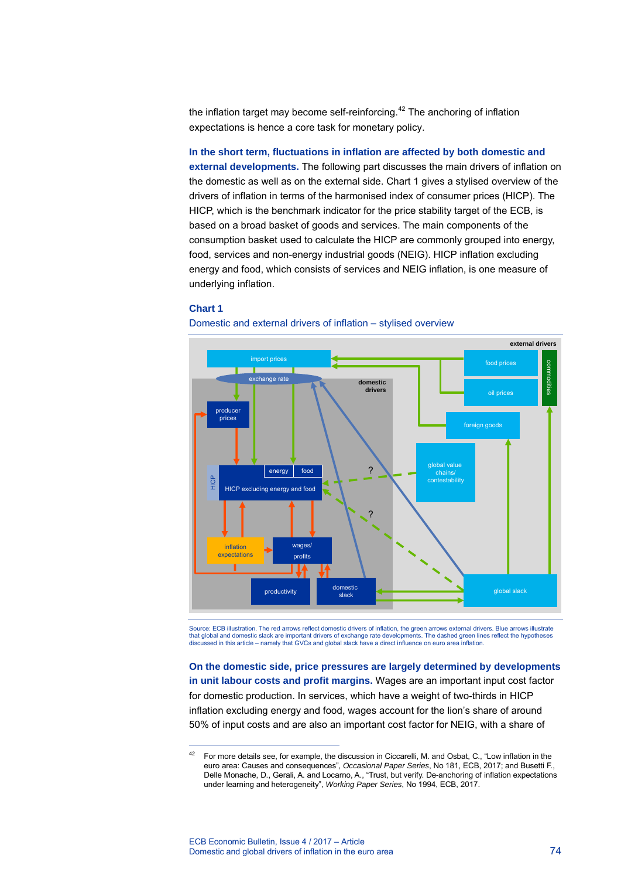the inflation target may become self-reinforcing. $42$  $42$  The anchoring of inflation expectations is hence a core task for monetary policy.

**In the short term, fluctuations in inflation are affected by both domestic and external developments.** The following part discusses the main drivers of inflation on the domestic as well as on the external side. Chart 1 gives a stylised overview of the drivers of inflation in terms of the harmonised index of consumer prices (HICP). The HICP, which is the benchmark indicator for the price stability target of the ECB, is based on a broad basket of goods and services. The main components of the consumption basket used to calculate the HICP are commonly grouped into energy, food, services and non-energy industrial goods (NEIG). HICP inflation excluding energy and food, which consists of services and NEIG inflation, is one measure of underlying inflation.

### **Chart 1**

-



Domestic and external drivers of inflation – stylised overview

Source: ECB illustration. The red arrows reflect domestic drivers of inflation, the green arrows external drivers. Blue arrows illustrate that global and domestic slack are important drivers of exchange rate developments. The dashed green lines reflect the hypotheses discussed in this article – namely that GVCs and global slack have a direct influence on euro area inflation.

**On the domestic side, price pressures are largely determined by developments in unit labour costs and profit margins.** Wages are an important input cost factor for domestic production. In services, which have a weight of two-thirds in HICP inflation excluding energy and food, wages account for the lion's share of around 50% of input costs and are also an important cost factor for NEIG, with a share of

<span id="page-2-0"></span><sup>&</sup>lt;sup>42</sup> For more details see, for example, the discussion in Ciccarelli, M. and Osbat, C., "Low inflation in the euro area: Causes and consequences", *Occasional Paper Series*, No 181, ECB, 2017; and Busetti F., Delle Monache, D., Gerali, A. and Locarno, A., "Trust, but verify. De-anchoring of inflation expectations under learning and heterogeneity", *Working Paper Series*, No 1994, ECB, 2017.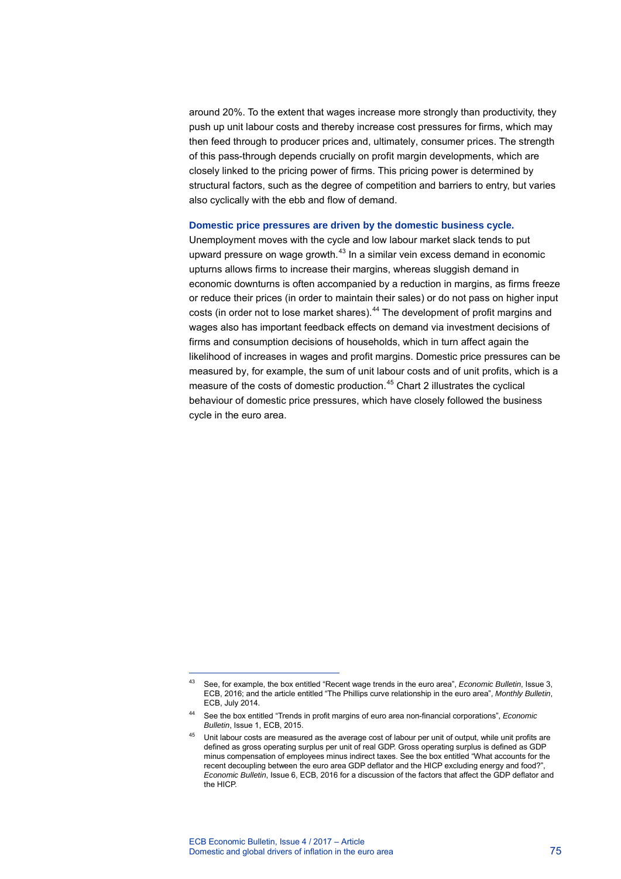around 20%. To the extent that wages increase more strongly than productivity, they push up unit labour costs and thereby increase cost pressures for firms, which may then feed through to producer prices and, ultimately, consumer prices. The strength of this pass-through depends crucially on profit margin developments, which are closely linked to the pricing power of firms. This pricing power is determined by structural factors, such as the degree of competition and barriers to entry, but varies also cyclically with the ebb and flow of demand.

### **Domestic price pressures are driven by the domestic business cycle.**

Unemployment moves with the cycle and low labour market slack tends to put upward pressure on wage growth.<sup>[4](#page-3-0)3</sup> In a similar vein excess demand in economic upturns allows firms to increase their margins, whereas sluggish demand in economic downturns is often accompanied by a reduction in margins, as firms freeze or reduce their prices (in order to maintain their sales) or do not pass on higher input costs (in order not to lose market shares).<sup>[44](#page-3-1)</sup> The development of profit margins and wages also has important feedback effects on demand via investment decisions of firms and consumption decisions of households, which in turn affect again the likelihood of increases in wages and profit margins. Domestic price pressures can be measured by, for example, the sum of unit labour costs and of unit profits, which is a measure of the costs of domestic production.<sup>[4](#page-3-2)5</sup> Chart 2 illustrates the cyclical behaviour of domestic price pressures, which have closely followed the business cycle in the euro area.

<span id="page-3-0"></span><sup>43</sup> See, for example, the box entitled "Recent wage trends in the euro area", *Economic Bulletin*, Issue 3, ECB, 2016; and the article entitled "The Phillips curve relationship in the euro area", *Monthly Bulletin*, ECB, July 2014.

<span id="page-3-1"></span><sup>44</sup> See the box entitled "Trends in profit margins of euro area non-financial corporations", *Economic Bulletin*, Issue 1, ECB, 2015.

<span id="page-3-2"></span><sup>&</sup>lt;sup>45</sup> Unit labour costs are measured as the average cost of labour per unit of output, while unit profits are defined as gross operating surplus per unit of real GDP. Gross operating surplus is defined as GDP minus compensation of employees minus indirect taxes. See the box entitled "What accounts for the recent decoupling between the euro area GDP deflator and the HICP excluding energy and food?", *Economic Bulletin*, Issue 6, ECB, 2016 for a discussion of the factors that affect the GDP deflator and the HICP.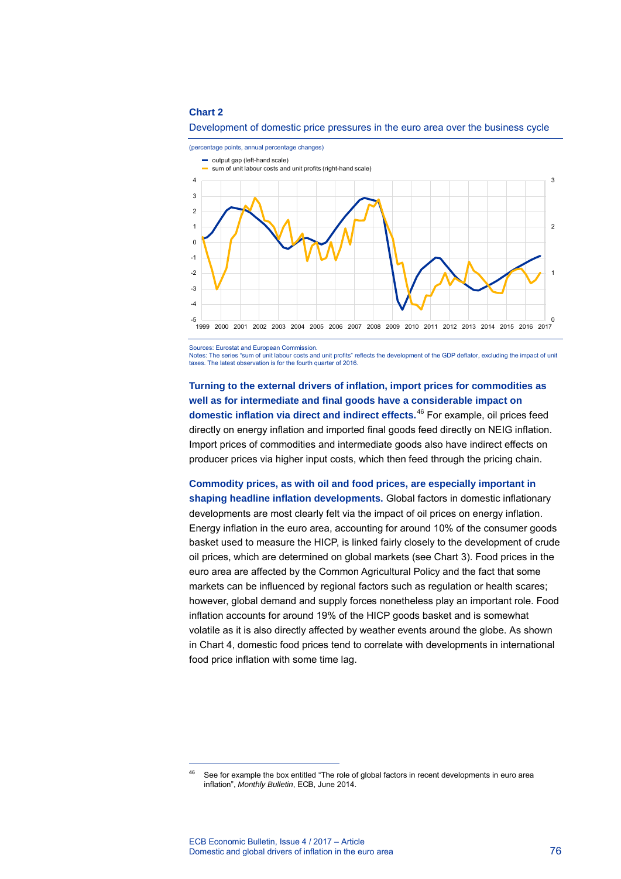



Sources: Eurostat and European Commission.

Notes: The series "sum of unit labour costs and unit profits" reflects the development of the GDP deflator, excluding the impact of unit taxes. The latest observation is for the fourth quarter of 2016.

**Turning to the external drivers of inflation, import prices for commodities as well as for intermediate and final goods have a considerable impact on domestic inflation via direct and indirect effects.**[4](#page-4-0)6 For example, oil prices feed directly on energy inflation and imported final goods feed directly on NEIG inflation. Import prices of commodities and intermediate goods also have indirect effects on producer prices via higher input costs, which then feed through the pricing chain.

**Commodity prices, as with oil and food prices, are especially important in shaping headline inflation developments.** Global factors in domestic inflationary developments are most clearly felt via the impact of oil prices on energy inflation. Energy inflation in the euro area, accounting for around 10% of the consumer goods basket used to measure the HICP, is linked fairly closely to the development of crude oil prices, which are determined on global markets (see Chart 3). Food prices in the euro area are affected by the Common Agricultural Policy and the fact that some markets can be influenced by regional factors such as regulation or health scares; however, global demand and supply forces nonetheless play an important role. Food inflation accounts for around 19% of the HICP goods basket and is somewhat volatile as it is also directly affected by weather events around the globe. As shown in Chart 4, domestic food prices tend to correlate with developments in international food price inflation with some time lag.

<span id="page-4-0"></span><sup>&</sup>lt;sup>46</sup> See for example the box entitled "The role of global factors in recent developments in euro area inflation", *Monthly Bulletin*, ECB, June 2014.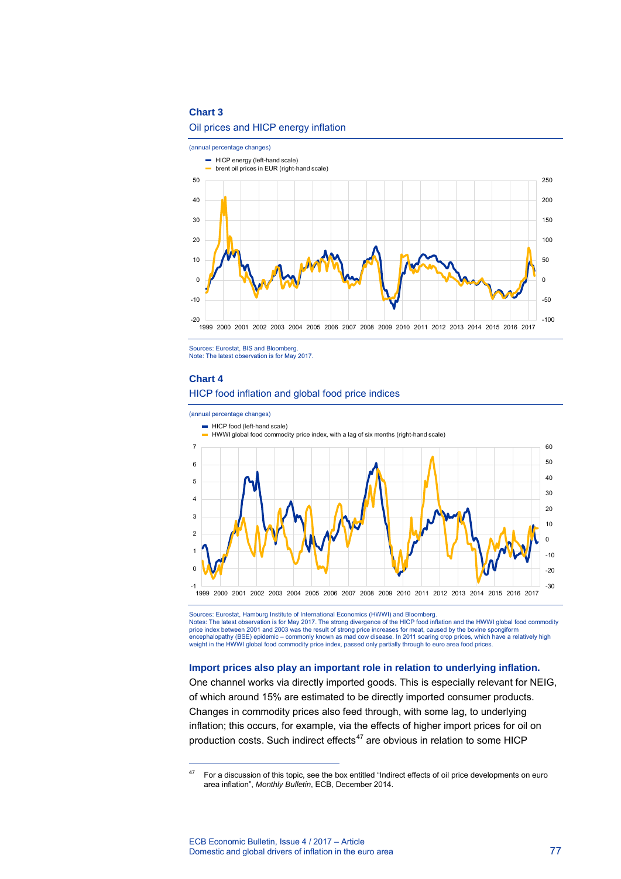



Sources: Eurostat, BIS and Bloomberg. Note: The latest observation is for May 2017.

#### **Chart 4**

-

### HICP food inflation and global food price indices



Sources: Eurostat, Hamburg Institute of International Economics (HWWI) and Bloomberg. Notes: The latest observation is for May 2017. The strong divergence of the HICP food inflation and the HWWI global food commodity price index between 2001 and 2003 was the result of strong price increases for meat, caused by the bovine spongiform encephalopathy (BSE) epidemic – commonly known as mad cow disease. In 2011 soaring crop prices, which have a relatively high<br>weight in the HWWI global food commodity price index, passed only partially through to euro area

### **Import prices also play an important role in relation to underlying inflation.**

One channel works via directly imported goods. This is especially relevant for NEIG, of which around 15% are estimated to be directly imported consumer products. Changes in commodity prices also feed through, with some lag, to underlying inflation; this occurs, for example, via the effects of higher import prices for oil on production costs. Such indirect effects $47$  $47$  are obvious in relation to some HICP

<span id="page-5-0"></span><sup>&</sup>lt;sup>47</sup> For a discussion of this topic, see the box entitled "Indirect effects of oil price developments on euro area inflation", *Monthly Bulletin*, ECB, December 2014.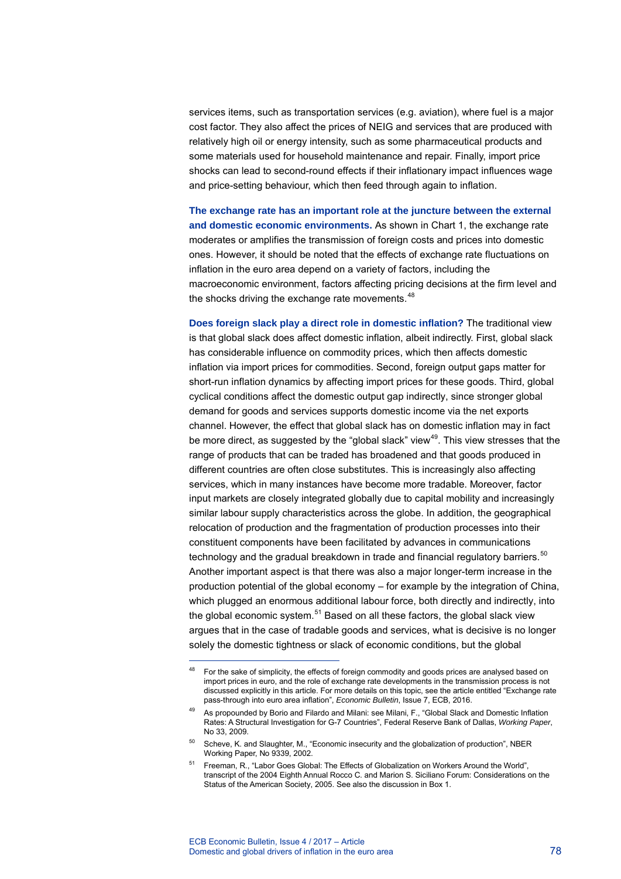services items, such as transportation services (e.g. aviation), where fuel is a major cost factor. They also affect the prices of NEIG and services that are produced with relatively high oil or energy intensity, such as some pharmaceutical products and some materials used for household maintenance and repair. Finally, import price shocks can lead to second-round effects if their inflationary impact influences wage and price-setting behaviour, which then feed through again to inflation.

**The exchange rate has an important role at the juncture between the external and domestic economic environments.** As shown in Chart 1, the exchange rate moderates or amplifies the transmission of foreign costs and prices into domestic ones. However, it should be noted that the effects of exchange rate fluctuations on inflation in the euro area depend on a variety of factors, including the macroeconomic environment, factors affecting pricing decisions at the firm level and the shocks driving the exchange rate movements.<sup>[48](#page-6-0)</sup>

**Does foreign slack play a direct role in domestic inflation?** The traditional view is that global slack does affect domestic inflation, albeit indirectly. First, global slack has considerable influence on commodity prices, which then affects domestic inflation via import prices for commodities. Second, foreign output gaps matter for short-run inflation dynamics by affecting import prices for these goods. Third, global cyclical conditions affect the domestic output gap indirectly, since stronger global demand for goods and services supports domestic income via the net exports channel. However, the effect that global slack has on domestic inflation may in fact be more direct, as suggested by the "global slack" view<sup>[49](#page-6-1)</sup>. This view stresses that the range of products that can be traded has broadened and that goods produced in different countries are often close substitutes. This is increasingly also affecting services, which in many instances have become more tradable. Moreover, factor input markets are closely integrated globally due to capital mobility and increasingly similar labour supply characteristics across the globe. In addition, the geographical relocation of production and the fragmentation of production processes into their constituent components have been facilitated by advances in communications technology and the gradual breakdown in trade and financial regulatory barriers.<sup>[50](#page-6-2)</sup> Another important aspect is that there was also a major longer-term increase in the production potential of the global economy – for example by the integration of China, which plugged an enormous additional labour force, both directly and indirectly, into the global economic system.<sup>[51](#page-6-3)</sup> Based on all these factors, the global slack view argues that in the case of tradable goods and services, what is decisive is no longer solely the domestic tightness or slack of economic conditions, but the global

<span id="page-6-0"></span><sup>&</sup>lt;sup>48</sup> For the sake of simplicity, the effects of foreign commodity and goods prices are analysed based on import prices in euro, and the role of exchange rate developments in the transmission process is not discussed explicitly in this article. For more details on this topic, see the article entitled "Exchange rate pass-through into euro area inflation", *Economic Bulletin*, Issue 7, ECB, 2016.

<span id="page-6-1"></span><sup>49</sup> As propounded by Borio and Filardo and Milani: see Milani, F., "Global Slack and Domestic Inflation Rates: A Structural Investigation for G-7 Countries", Federal Reserve Bank of Dallas, *Working Paper*, No 33, 2009.

<span id="page-6-2"></span><sup>50</sup> Scheve, K. and Slaughter, M., "Economic insecurity and the globalization of production", NBER Working Paper, No 9339, 2002.

<span id="page-6-3"></span><sup>51</sup> Freeman, R., "Labor Goes Global: The Effects of Globalization on Workers Around the World", transcript of the 2004 Eighth Annual Rocco C. and Marion S. Siciliano Forum: Considerations on the Status of the American Society, 2005. See also the discussion in Box 1.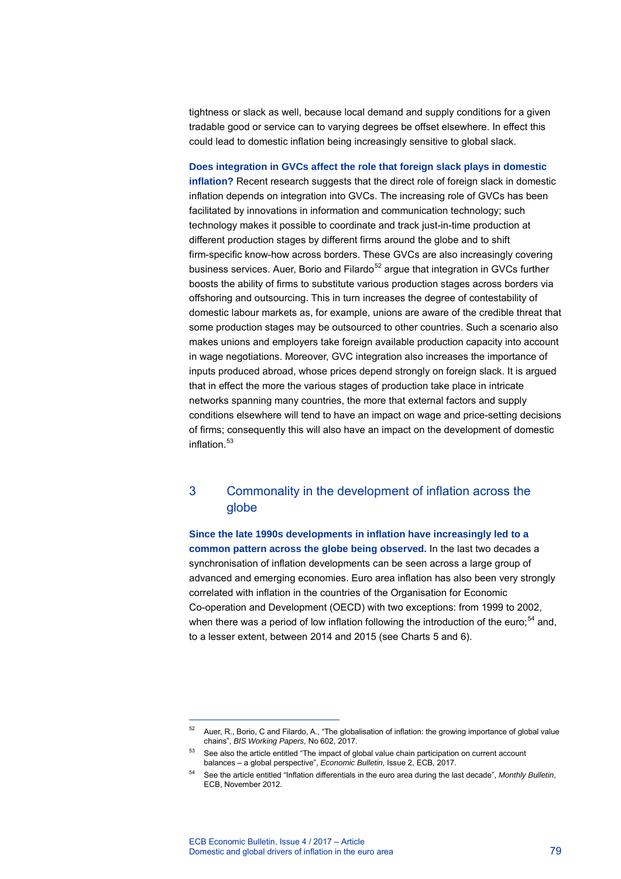tightness or slack as well, because local demand and supply conditions for a given tradable good or service can to varying degrees be offset elsewhere. In effect this could lead to domestic inflation being increasingly sensitive to global slack.

**Does integration in GVCs affect the role that foreign slack plays in domestic inflation?** Recent research suggests that the direct role of foreign slack in domestic inflation depends on integration into GVCs. The increasing role of GVCs has been facilitated by innovations in information and communication technology; such technology makes it possible to coordinate and track just-in-time production at different production stages by different firms around the globe and to shift firm-specific know-how across borders. These GVCs are also increasingly covering business services. Auer, Borio and Filardo<sup>[52](#page-7-0)</sup> argue that integration in GVCs further boosts the ability of firms to substitute various production stages across borders via offshoring and outsourcing. This in turn increases the degree of contestability of domestic labour markets as, for example, unions are aware of the credible threat that some production stages may be outsourced to other countries. Such a scenario also makes unions and employers take foreign available production capacity into account in wage negotiations. Moreover, GVC integration also increases the importance of inputs produced abroad, whose prices depend strongly on foreign slack. It is argued that in effect the more the various stages of production take place in intricate networks spanning many countries, the more that external factors and supply conditions elsewhere will tend to have an impact on wage and price-setting decisions of firms; consequently this will also have an impact on the development of domestic inflation $53$ 

### 3 Commonality in the development of inflation across the globe

**Since the late 1990s developments in inflation have increasingly led to a common pattern across the globe being observed.** In the last two decades a synchronisation of inflation developments can be seen across a large group of advanced and emerging economies. Euro area inflation has also been very strongly correlated with inflation in the countries of the Organisation for Economic Co-operation and Development (OECD) with two exceptions: from 1999 to 2002, when there was a period of low inflation following the introduction of the euro;<sup>[54](#page-7-2)</sup> and, to a lesser extent, between 2014 and 2015 (see Charts 5 and 6).

<span id="page-7-0"></span><sup>52</sup> Auer, R., Borio, C and Filardo, A., "The globalisation of inflation: the growing importance of global value chains", *BIS Working Papers*, No 602, 2017.

<span id="page-7-1"></span><sup>53</sup> See also the article entitled "The impact of global value chain participation on current account balances – a global perspective", *Economic Bulletin*, Issue 2, ECB, 2017.

<span id="page-7-2"></span><sup>54</sup> See the article entitled ["Inflation differentials in the euro area during the last decade",](https://www.ecb.europa.eu/pub/pdf/other/art1_mb201211en_pp71-85en.pdf) *Monthly Bulletin*, ECB, November 2012.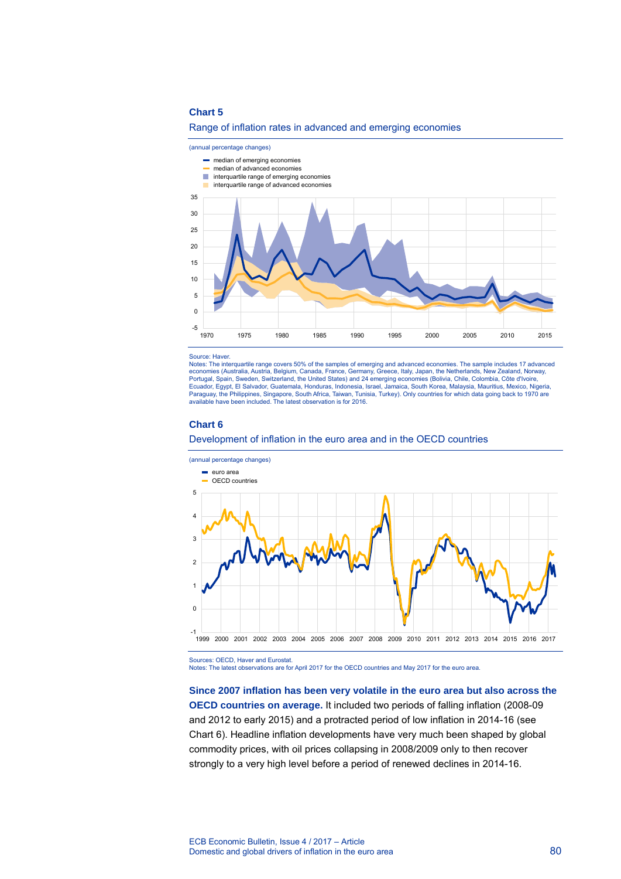





- median of advanced economies
- **interquartile range of emerging economies**
- **interquartile range of advanced economies**



#### Source: Haver.

Notes: The interquartile range covers 50% of the samples of emerging and advanced economies. The sample includes 17 advanced economies (Australia, Austria, Belgium, Canada, France, Germany, Greece, Italy, Japan, the Netherlands, New Zealand, Norway,<br>Portugal, Spain, Sweden, Switzerland, the United States) and 24 emerging economies (Bolivia, Chil Paraguay, the Philippines, Singapore, South Africa, Taiwan, Tunisia, Turkey). Only countries for which data going back to 1970 are available have been included. The latest observation is for 2016.

#### **Chart 6**

Development of inflation in the euro area and in the OECD countries



Sources: OECD, Haver and Eurostat.

Notes: The latest observations are for April 2017 for the OECD countries and May 2017 for the euro area.

**Since 2007 inflation has been very volatile in the euro area but also across the OECD countries on average.** It included two periods of falling inflation (2008-09 and 2012 to early 2015) and a protracted period of low inflation in 2014-16 (see Chart 6). Headline inflation developments have very much been shaped by global commodity prices, with oil prices collapsing in 2008/2009 only to then recover strongly to a very high level before a period of renewed declines in 2014-16.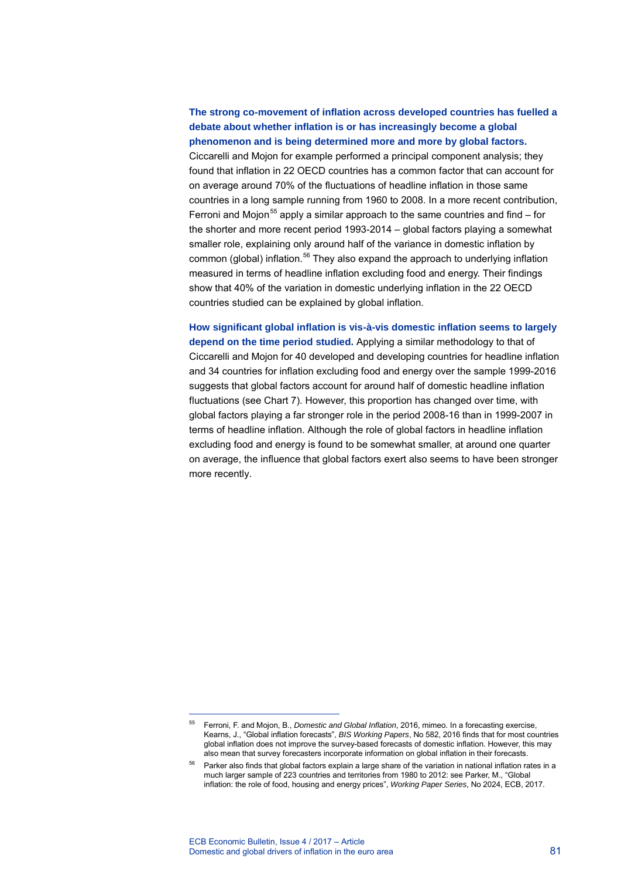### **The strong co-movement of inflation across developed countries has fuelled a debate about whether inflation is or has increasingly become a global phenomenon and is being determined more and more by global factors.** Ciccarelli and Mojon for example performed a principal component analysis; they found that inflation in 22 OECD countries has a common factor that can account for on average around 70% of the fluctuations of headline inflation in those same countries in a long sample running from 1960 to 2008. In a more recent contribution, Ferroni and Moion<sup>[55](#page-9-0)</sup> apply a similar approach to the same countries and find – for the shorter and more recent period 1993-2014 – global factors playing a somewhat smaller role, explaining only around half of the variance in domestic inflation by common (global) inflation.<sup>[56](#page-9-1)</sup> They also expand the approach to underlying inflation measured in terms of headline inflation excluding food and energy. Their findings show that 40% of the variation in domestic underlying inflation in the 22 OECD countries studied can be explained by global inflation.

### **How significant global inflation is vis-à-vis domestic inflation seems to largely depend on the time period studied.** Applying a similar methodology to that of Ciccarelli and Mojon for 40 developed and developing countries for headline inflation and 34 countries for inflation excluding food and energy over the sample 1999-2016 suggests that global factors account for around half of domestic headline inflation fluctuations (see Chart 7). However, this proportion has changed over time, with global factors playing a far stronger role in the period 2008-16 than in 1999-2007 in terms of headline inflation. Although the role of global factors in headline inflation excluding food and energy is found to be somewhat smaller, at around one quarter on average, the influence that global factors exert also seems to have been stronger more recently.

<span id="page-9-0"></span><sup>55</sup> Ferroni, F. and Mojon, B., *Domestic and Global Inflation*, 2016, mimeo. In a forecasting exercise, Kearns, J., "Global inflation forecasts", *BIS Working Papers*, No 582, 2016 finds that for most countries global inflation does not improve the survey-based forecasts of domestic inflation. However, this may also mean that survey forecasters incorporate information on global inflation in their forecasts.

<span id="page-9-1"></span> $56$  Parker also finds that global factors explain a large share of the variation in national inflation rates in a much larger sample of 223 countries and territories from 1980 to 2012: see Parker, M., ["Global](https://ideas.repec.org/p/ecb/ecbwps/20172024.html)  [inflation: the role of food, housing and energy prices"](https://ideas.repec.org/p/ecb/ecbwps/20172024.html), *[Working Paper Series](https://ideas.repec.org/s/ecb/ecbwps.html)*, No 2024, ECB, 2017.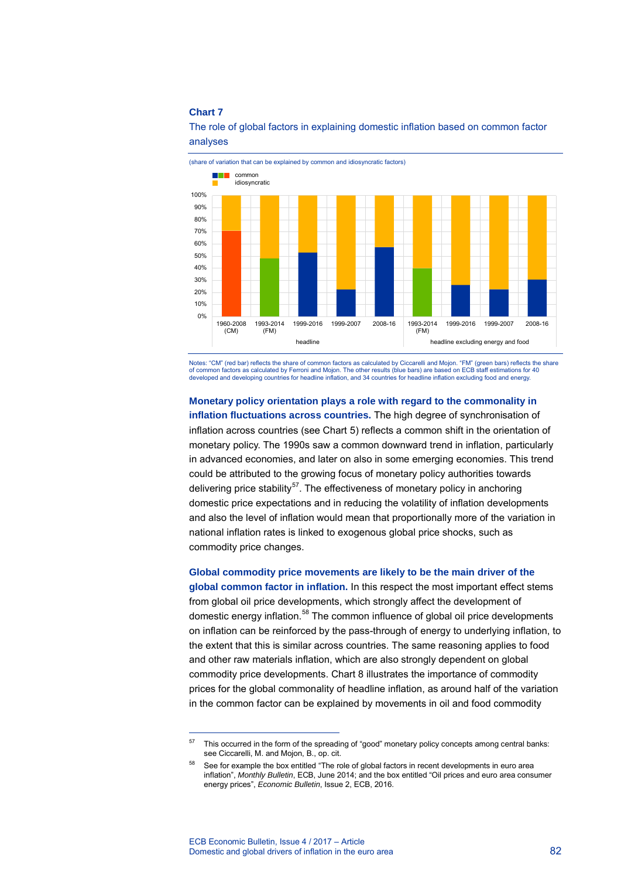

The role of global factors in explaining domestic inflation based on common factor analyses

Notes: "CM" (red bar) reflects the share of common factors as calculated by Ciccarelli and Mojon. "FM" (green bars) reflects the share of common factors as calculated by Ferroni and Mojon. The other results (blue bars) are based on ECB staff estimations for 40 developed and developing countries for headline inflation, and 34 countries for headline inflation excluding food and energy.

### **Monetary policy orientation plays a role with regard to the commonality in**

**inflation fluctuations across countries.** The high degree of synchronisation of inflation across countries (see Chart 5) reflects a common shift in the orientation of monetary policy. The 1990s saw a common downward trend in inflation, particularly in advanced economies, and later on also in some emerging economies. This trend could be attributed to the growing focus of monetary policy authorities towards delivering price stability<sup>57</sup>. The effectiveness of monetary policy in anchoring domestic price expectations and in reducing the volatility of inflation developments and also the level of inflation would mean that proportionally more of the variation in national inflation rates is linked to exogenous global price shocks, such as commodity price changes.

**Global commodity price movements are likely to be the main driver of the global common factor in inflation.** In this respect the most important effect stems from global oil price developments, which strongly affect the development of domestic energy inflation.<sup>[58](#page-10-1)</sup> The common influence of global oil price developments on inflation can be reinforced by the pass-through of energy to underlying inflation, to the extent that this is similar across countries. The same reasoning applies to food and other raw materials inflation, which are also strongly dependent on global commodity price developments. Chart 8 illustrates the importance of commodity prices for the global commonality of headline inflation, as around half of the variation in the common factor can be explained by movements in oil and food commodity

<span id="page-10-0"></span><sup>&</sup>lt;sup>57</sup> This occurred in the form of the spreading of "good" monetary policy concepts among central banks: see Ciccarelli, M. and Mojon, B., op. cit.

<span id="page-10-1"></span><sup>&</sup>lt;sup>58</sup> See for example the box entitled "The role of global factors in recent developments in euro area inflation", *Monthly Bulletin*, ECB, June 2014; and the box entitled "Oil prices and euro area consumer energy prices", *Economic Bulletin*, Issue 2, ECB, 2016.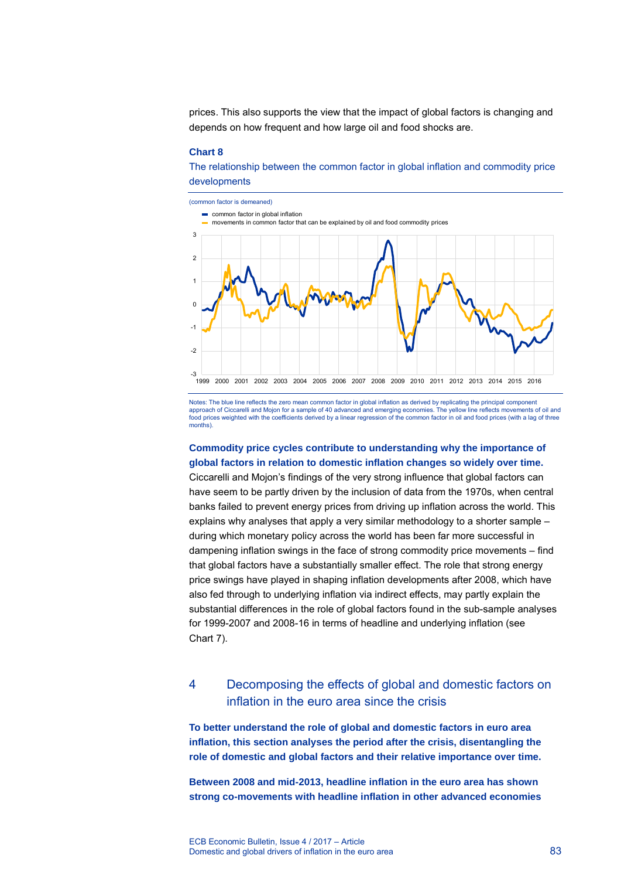prices. This also supports the view that the impact of global factors is changing and depends on how frequent and how large oil and food shocks are.

#### **Chart 8**

The relationship between the common factor in global inflation and commodity price developments



Notes: The blue line reflects the zero mean common factor in global inflation as derived by replicating the principal component approach of Ciccarelli and Mojon for a sample of 40 advanced and emerging economies. The yellow line reflects movements of oil and food prices weighted with the coefficients derived by a linear regression of the common factor in oil and food prices (with a lag of three months).

### **Commodity price cycles contribute to understanding why the importance of global factors in relation to domestic inflation changes so widely over time.**

Ciccarelli and Mojon's findings of the very strong influence that global factors can have seem to be partly driven by the inclusion of data from the 1970s, when central banks failed to prevent energy prices from driving up inflation across the world. This explains why analyses that apply a very similar methodology to a shorter sample – during which monetary policy across the world has been far more successful in dampening inflation swings in the face of strong commodity price movements – find that global factors have a substantially smaller effect. The role that strong energy price swings have played in shaping inflation developments after 2008, which have also fed through to underlying inflation via indirect effects, may partly explain the substantial differences in the role of global factors found in the sub-sample analyses for 1999-2007 and 2008-16 in terms of headline and underlying inflation (see Chart 7).

### 4 Decomposing the effects of global and domestic factors on inflation in the euro area since the crisis

**To better understand the role of global and domestic factors in euro area inflation, this section analyses the period after the crisis, disentangling the role of domestic and global factors and their relative importance over time.** 

**Between 2008 and mid-2013, headline inflation in the euro area has shown strong co-movements with headline inflation in other advanced economies**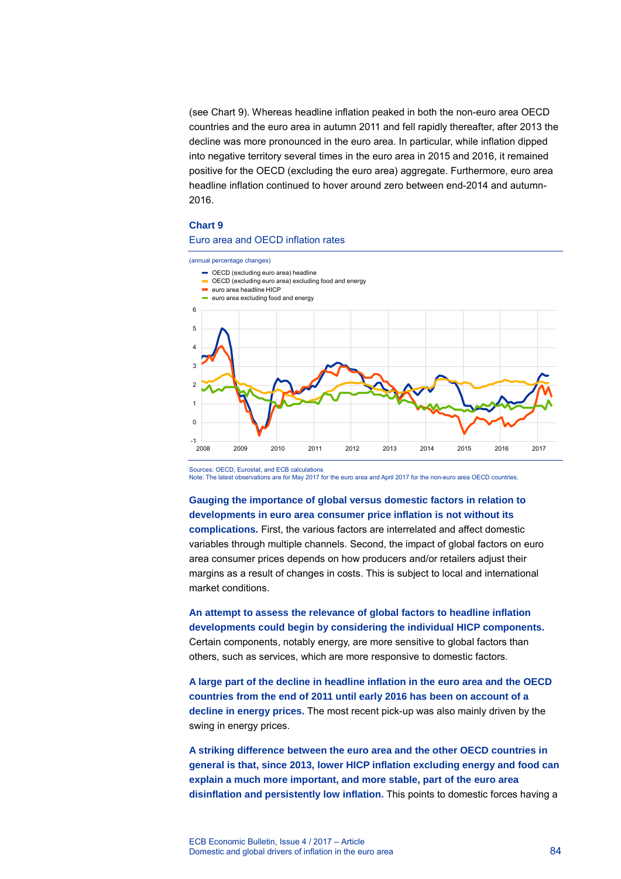(see Chart 9). Whereas headline inflation peaked in both the non-euro area OECD countries and the euro area in autumn 2011 and fell rapidly thereafter, after 2013 the decline was more pronounced in the euro area. In particular, while inflation dipped into negative territory several times in the euro area in 2015 and 2016, it remained positive for the OECD (excluding the euro area) aggregate. Furthermore, euro area headline inflation continued to hover around zero between end-2014 and autumn-2016.

#### **Chart 9**

### Euro area and OECD inflation rates



Note: The latest observations are for May 2017 for the euro area and April 2017 for the non-euro area OECD countries.

### **Gauging the importance of global versus domestic factors in relation to developments in euro area consumer price inflation is not without its complications.** First, the various factors are interrelated and affect domestic variables through multiple channels. Second, the impact of global factors on euro area consumer prices depends on how producers and/or retailers adjust their margins as a result of changes in costs. This is subject to local and international market conditions.

**An attempt to assess the relevance of global factors to headline inflation developments could begin by considering the individual HICP components.** Certain components, notably energy, are more sensitive to global factors than others, such as services, which are more responsive to domestic factors.

**A large part of the decline in headline inflation in the euro area and the OECD countries from the end of 2011 until early 2016 has been on account of a decline in energy prices.** The most recent pick-up was also mainly driven by the swing in energy prices.

**A striking difference between the euro area and the other OECD countries in general is that, since 2013, lower HICP inflation excluding energy and food can explain a much more important, and more stable, part of the euro area disinflation and persistently low inflation.** This points to domestic forces having a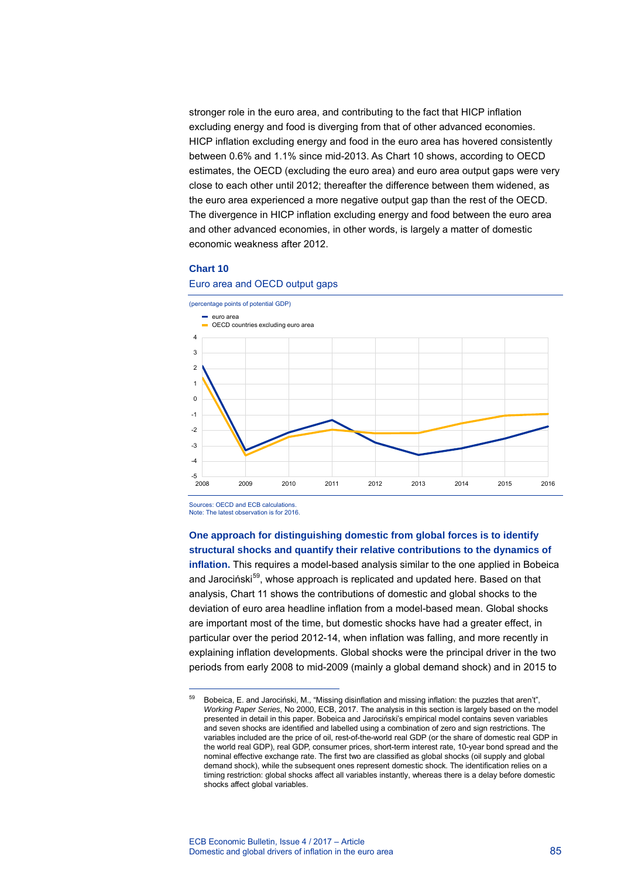stronger role in the euro area, and contributing to the fact that HICP inflation excluding energy and food is diverging from that of other advanced economies. HICP inflation excluding energy and food in the euro area has hovered consistently between 0.6% and 1.1% since mid-2013. As Chart 10 shows, according to OECD estimates, the OECD (excluding the euro area) and euro area output gaps were very close to each other until 2012; thereafter the difference between them widened, as the euro area experienced a more negative output gap than the rest of the OECD. The divergence in HICP inflation excluding energy and food between the euro area and other advanced economies, in other words, is largely a matter of domestic economic weakness after 2012.

### **Chart 10**



### Euro area and OECD output gaps

Sources: OECD and ECB calculations. Note: The latest observation is for 2016.

-

### **One approach for distinguishing domestic from global forces is to identify structural shocks and quantify their relative contributions to the dynamics of**

**inflation.** This requires a model-based analysis similar to the one applied in Bobeica and Jarociński<sup>[59](#page-13-0)</sup>, whose approach is replicated and updated here. Based on that analysis, Chart 11 shows the contributions of domestic and global shocks to the deviation of euro area headline inflation from a model-based mean. Global shocks are important most of the time, but domestic shocks have had a greater effect, in particular over the period 2012-14, when inflation was falling, and more recently in explaining inflation developments. Global shocks were the principal driver in the two periods from early 2008 to mid-2009 (mainly a global demand shock) and in 2015 to

<span id="page-13-0"></span><sup>59</sup> Bobeica, E. and Jarociński, M., "Missing disinflation and missing inflation: the puzzles that aren't", *Working Paper Series*, No 2000, ECB, 2017. The analysis in this section is largely based on the model presented in detail in this paper. Bobeica and Jarociński's empirical model contains seven variables and seven shocks are identified and labelled using a combination of zero and sign restrictions. The variables included are the price of oil, rest-of-the-world real GDP (or the share of domestic real GDP in the world real GDP), real GDP, consumer prices, short-term interest rate, 10-year bond spread and the nominal effective exchange rate. The first two are classified as global shocks (oil supply and global demand shock), while the subsequent ones represent domestic shock. The identification relies on a timing restriction: global shocks affect all variables instantly, whereas there is a delay before domestic shocks affect global variables.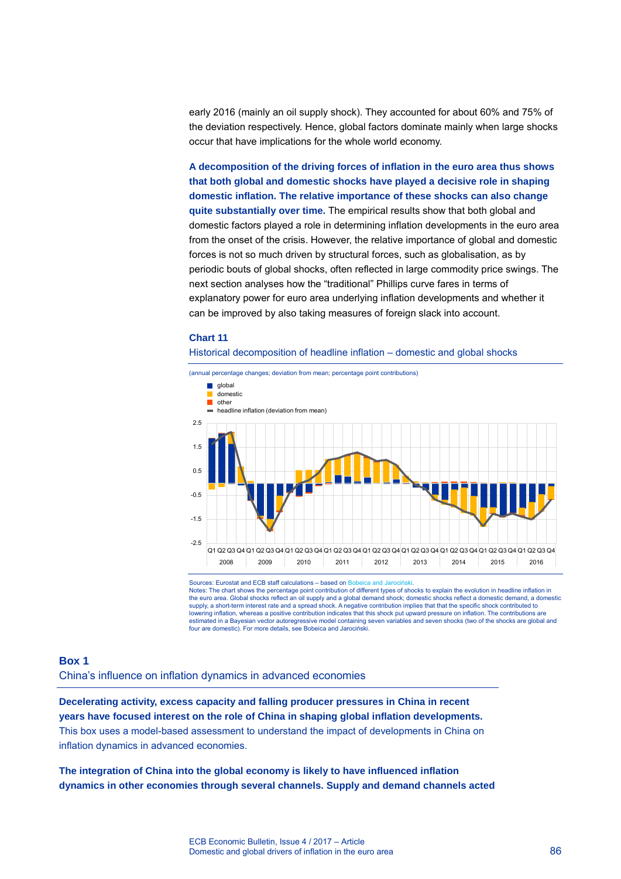early 2016 (mainly an oil supply shock). They accounted for about 60% and 75% of the deviation respectively. Hence, global factors dominate mainly when large shocks occur that have implications for the whole world economy.

**A decomposition of the driving forces of inflation in the euro area thus shows that both global and domestic shocks have played a decisive role in shaping domestic inflation. The relative importance of these shocks can also change quite substantially over time.** The empirical results show that both global and domestic factors played a role in determining inflation developments in the euro area from the onset of the crisis. However, the relative importance of global and domestic forces is not so much driven by structural forces, such as globalisation, as by periodic bouts of global shocks, often reflected in large commodity price swings. The next section analyses how the "traditional" Phillips curve fares in terms of explanatory power for euro area underlying inflation developments and whether it can be improved by also taking measures of foreign slack into account.

#### **Chart 11**

#### Historical decomposition of headline inflation – domestic and global shocks



Sources: Eurostat and ECB staff calculations – based on Bobeica and Jarociński.<br>Notes: The chart shows the percentage point contribution of different types of shocks to explain the evolution in headline inflation in the euro area. Global shocks reflect an oil supply and a global demand shock; domestic shocks reflect a domestic demand, a domestic supply, a short-term interest rate and a spread shock. A negative contribution implies that that the specific shock contributed to<br>Iowering inflation, whereas a positive contribution indicates that this shock put upward pr estimated in a Bayesian vector autoregressive model containing seven variables and seven shocks (two of the shocks are global and four are domestic). For more details, see Bobeica and Jarociński.

### **Box 1**

China's influence on inflation dynamics in advanced economies

**Decelerating activity, excess capacity and falling producer pressures in China in recent years have focused interest on the role of China in shaping global inflation developments.** This box uses a model-based assessment to understand the impact of developments in China on inflation dynamics in advanced economies.

**The integration of China into the global economy is likely to have influenced inflation dynamics in other economies through several channels. Supply and demand channels acted**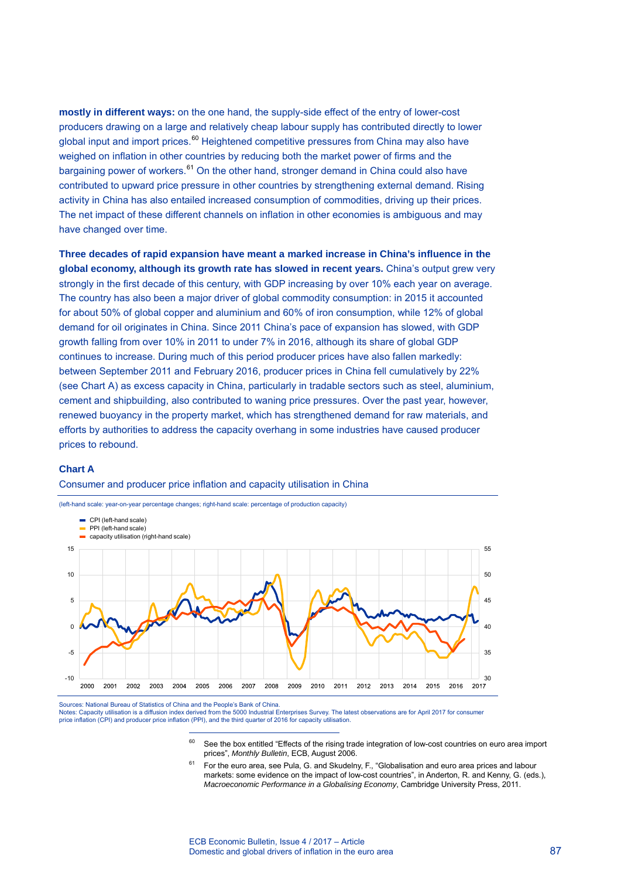**mostly in different ways:** on the one hand, the supply-side effect of the entry of lower-cost producers drawing on a large and relatively cheap labour supply has contributed directly to lower global input and import prices.<sup>[60](#page-15-0)</sup> Heightened competitive pressures from China may also have weighed on inflation in other countries by reducing both the market power of firms and the bargaining power of workers.<sup>[61](#page-15-1)</sup> On the other hand, stronger demand in China could also have contributed to upward price pressure in other countries by strengthening external demand. Rising activity in China has also entailed increased consumption of commodities, driving up their prices. The net impact of these different channels on inflation in other economies is ambiguous and may have changed over time.

**Three decades of rapid expansion have meant a marked increase in China's influence in the global economy, although its growth rate has slowed in recent years.** China's output grew very strongly in the first decade of this century, with GDP increasing by over 10% each year on average. The country has also been a major driver of global commodity consumption: in 2015 it accounted for about 50% of global copper and aluminium and 60% of iron consumption, while 12% of global demand for oil originates in China. Since 2011 China's pace of expansion has slowed, with GDP growth falling from over 10% in 2011 to under 7% in 2016, although its share of global GDP continues to increase. During much of this period producer prices have also fallen markedly: between September 2011 and February 2016, producer prices in China fell cumulatively by 22% (see Chart A) as excess capacity in China, particularly in tradable sectors such as steel, aluminium, cement and shipbuilding, also contributed to waning price pressures. Over the past year, however, renewed buoyancy in the property market, which has strengthened demand for raw materials, and efforts by authorities to address the capacity overhang in some industries have caused producer prices to rebound.

### **Chart A**





(left-hand scale: year-on-year percentage changes; right-hand scale: percentage of production capacity)

-

<span id="page-15-1"></span><span id="page-15-0"></span>Sources: National Bureau of Statistics of China and the People's Bank of China. Notes: Capacity utilisation is a diffusion index derived from the 5000 Industrial Enterprises Survey. The latest observations are for April 2017 for consumer price inflation (CPI) and producer price inflation (PPI), and the third quarter of 2016 for capacity utilisation

- $60$  See the box entitled "Effects of the rising trade integration of low-cost countries on euro area import prices", *Monthly Bulletin*, ECB, August 2006.
- <sup>61</sup> For the euro area, see Pula, G. and Skudelny, F., "Globalisation and euro area prices and labour markets: some evidence on the impact of low-cost countries", in Anderton, R. and Kenny, G. (eds.), *Macroeconomic Performance in a Globalising Economy*, Cambridge University Press, 2011.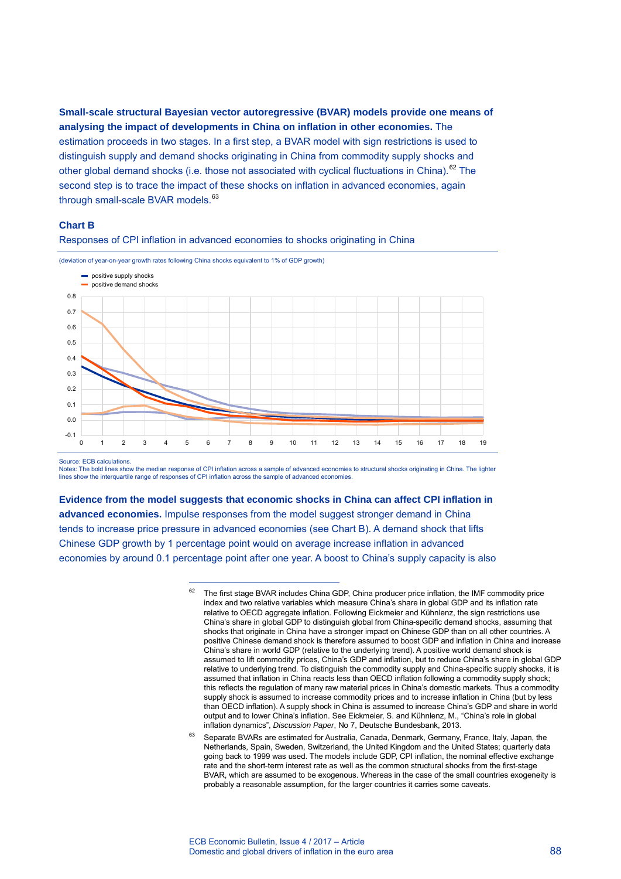**Small-scale structural Bayesian vector autoregressive (BVAR) models provide one means of analysing the impact of developments in China on inflation in other economies.** The estimation proceeds in two stages. In a first step, a BVAR model with sign restrictions is used to distinguish supply and demand shocks originating in China from commodity supply shocks and other global demand shocks (i.e. those not associated with cyclical fluctuations in China).<sup>[62](#page-16-0)</sup> The second step is to trace the impact of these shocks on inflation in advanced economies, again through small-scale BVAR models.<sup>[63](#page-16-1)</sup>

#### **Chart B**





(deviation of year-on-year growth rates following China shocks equivalent to 1% of GDP growth)

-

Source: ECB calculations

Notes: The bold lines show the median response of CPI inflation across a sample of advanced economies to structural shocks originating in China. The lighter lines show the interquartile range of responses of CPI inflation across the sample of advanced economies.

<span id="page-16-0"></span>**Evidence from the model suggests that economic shocks in China can affect CPI inflation in advanced economies.** Impulse responses from the model suggest stronger demand in China tends to increase price pressure in advanced economies (see Chart B). A demand shock that lifts Chinese GDP growth by 1 percentage point would on average increase inflation in advanced economies by around 0.1 percentage point after one year. A boost to China's supply capacity is also

<sup>&</sup>lt;sup>62</sup> The first stage BVAR includes China GDP, China producer price inflation, the IMF commodity price index and two relative variables which measure China's share in global GDP and its inflation rate relative to OECD aggregate inflation. Following Eickmeier and Kühnlenz, the sign restrictions use China's share in global GDP to distinguish global from China-specific demand shocks, assuming that shocks that originate in China have a stronger impact on Chinese GDP than on all other countries. A positive Chinese demand shock is therefore assumed to boost GDP and inflation in China and increase China's share in world GDP (relative to the underlying trend). A positive world demand shock is assumed to lift commodity prices, China's GDP and inflation, but to reduce China's share in global GDP relative to underlying trend. To distinguish the commodity supply and China-specific supply shocks, it is assumed that inflation in China reacts less than OECD inflation following a commodity supply shock; this reflects the regulation of many raw material prices in China's domestic markets. Thus a commodity supply shock is assumed to increase commodity prices and to increase inflation in China (but by less than OECD inflation). A supply shock in China is assumed to increase China's GDP and share in world output and to lower China's inflation. See Eickmeier, S. and Kühnlenz, M., "China's role in global inflation dynamics", *Discussion Paper*, No 7, Deutsche Bundesbank, 2013.

<span id="page-16-1"></span><sup>63</sup> Separate BVARs are estimated for Australia, Canada, Denmark, Germany, France, Italy, Japan, the Netherlands, Spain, Sweden, Switzerland, the United Kingdom and the United States; quarterly data going back to 1999 was used. The models include GDP, CPI inflation, the nominal effective exchange rate and the short-term interest rate as well as the common structural shocks from the first-stage BVAR, which are assumed to be exogenous. Whereas in the case of the small countries exogeneity is probably a reasonable assumption, for the larger countries it carries some caveats.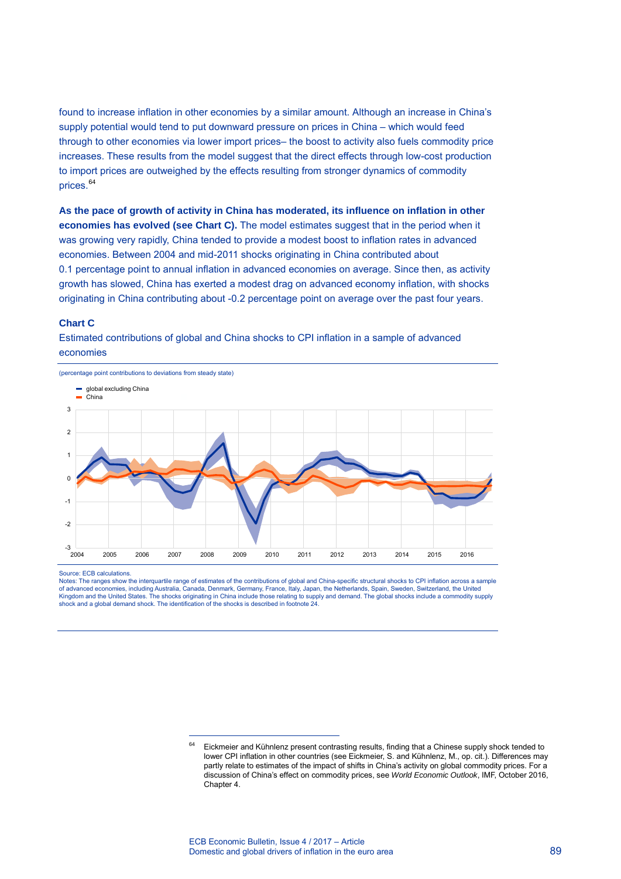found to increase inflation in other economies by a similar amount. Although an increase in China's supply potential would tend to put downward pressure on prices in China – which would feed through to other economies via lower import prices– the boost to activity also fuels commodity price increases. These results from the model suggest that the direct effects through low-cost production to import prices are outweighed by the effects resulting from stronger dynamics of commodity prices.<sup>[64](#page-17-0)</sup>

**As the pace of growth of activity in China has moderated, its influence on inflation in other economies has evolved (see Chart C).** The model estimates suggest that in the period when it was growing very rapidly, China tended to provide a modest boost to inflation rates in advanced economies. Between 2004 and mid-2011 shocks originating in China contributed about 0.1 percentage point to annual inflation in advanced economies on average. Since then, as activity growth has slowed, China has exerted a modest drag on advanced economy inflation, with shocks originating in China contributing about -0.2 percentage point on average over the past four years.

#### **Chart C**

Estimated contributions of global and China shocks to CPI inflation in a sample of advanced economies



Source: ECB calculations

<span id="page-17-0"></span>Notes: The ranges show the interquartile range of estimates of the contributions of global and China-specific structural shocks to CPI inflation across a sample of advanced economies, including Australia, Canada, Denmark, Germany, France, Italy, Japan, the Netherlands, Spain, Sweden, Switzerland, the United Kingdom and the United States. The shocks originating in China include those relating to supply and demand. The global shocks include a commodity supply<br>shock and a global demand shock. The identification of the shocks is

Eickmeier and Kühnlenz present contrasting results, finding that a Chinese supply shock tended to lower CPI inflation in other countries (see Eickmeier, S. and Kühnlenz, M., op. cit.). Differences may partly relate to estimates of the impact of shifts in China's activity on global commodity prices. For a discussion of China's effect on commodity prices, see *World Economic Outlook*, IMF, October 2016, Chapter 4.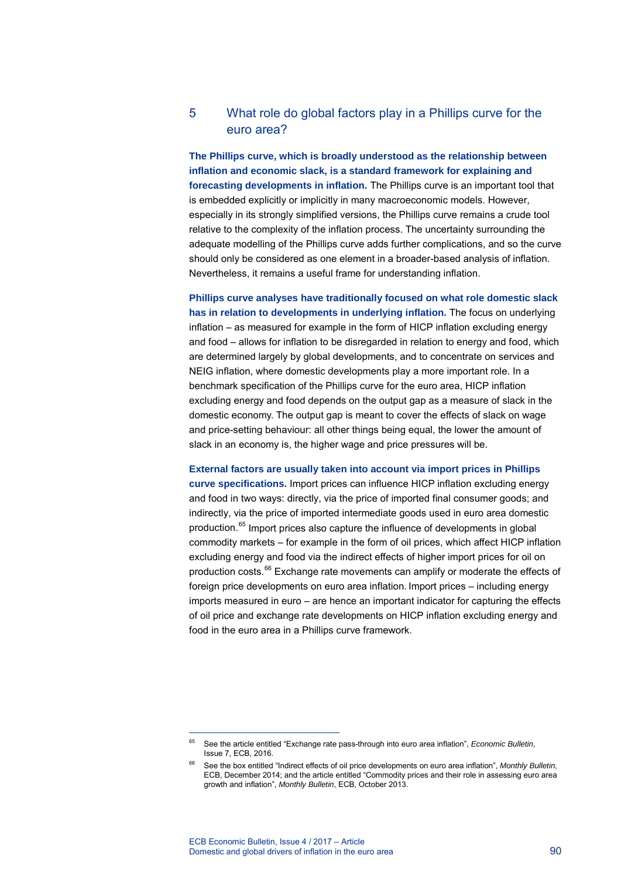### 5 What role do global factors play in a Phillips curve for the euro area?

**The Phillips curve, which is broadly understood as the relationship between inflation and economic slack, is a standard framework for explaining and forecasting developments in inflation.** The Phillips curve is an important tool that is embedded explicitly or implicitly in many macroeconomic models. However, especially in its strongly simplified versions, the Phillips curve remains a crude tool relative to the complexity of the inflation process. The uncertainty surrounding the adequate modelling of the Phillips curve adds further complications, and so the curve should only be considered as one element in a broader-based analysis of inflation. Nevertheless, it remains a useful frame for understanding inflation.

**Phillips curve analyses have traditionally focused on what role domestic slack has in relation to developments in underlying inflation.** The focus on underlying inflation – as measured for example in the form of HICP inflation excluding energy and food – allows for inflation to be disregarded in relation to energy and food, which are determined largely by global developments, and to concentrate on services and NEIG inflation, where domestic developments play a more important role. In a benchmark specification of the Phillips curve for the euro area, HICP inflation excluding energy and food depends on the output gap as a measure of slack in the domestic economy. The output gap is meant to cover the effects of slack on wage and price-setting behaviour: all other things being equal, the lower the amount of slack in an economy is, the higher wage and price pressures will be.

**External factors are usually taken into account via import prices in Phillips curve specifications.** Import prices can influence HICP inflation excluding energy and food in two ways: directly, via the price of imported final consumer goods; and indirectly, via the price of imported intermediate goods used in euro area domestic production.<sup>[65](#page-18-0)</sup> Import prices also capture the influence of developments in global commodity markets – for example in the form of oil prices, which affect HICP inflation excluding energy and food via the indirect effects of higher import prices for oil on production costs. $^{66}$  $^{66}$  $^{66}$  Exchange rate movements can amplify or moderate the effects of foreign price developments on euro area inflation. Import prices – including energy imports measured in euro – are hence an important indicator for capturing the effects of oil price and exchange rate developments on HICP inflation excluding energy and food in the euro area in a Phillips curve framework.

<span id="page-18-0"></span><sup>65</sup> See the article entitled "Exchange rate pass-through into euro area inflation", *Economic Bulletin*, Issue 7, ECB, 2016.

<span id="page-18-1"></span><sup>66</sup> See the box entitled "Indirect effects of oil price developments on euro area inflation", *Monthly Bulletin*, ECB, December 2014; and the article entitled "Commodity prices and their role in assessing euro area growth and inflation", *Monthly Bulletin*, ECB, October 2013.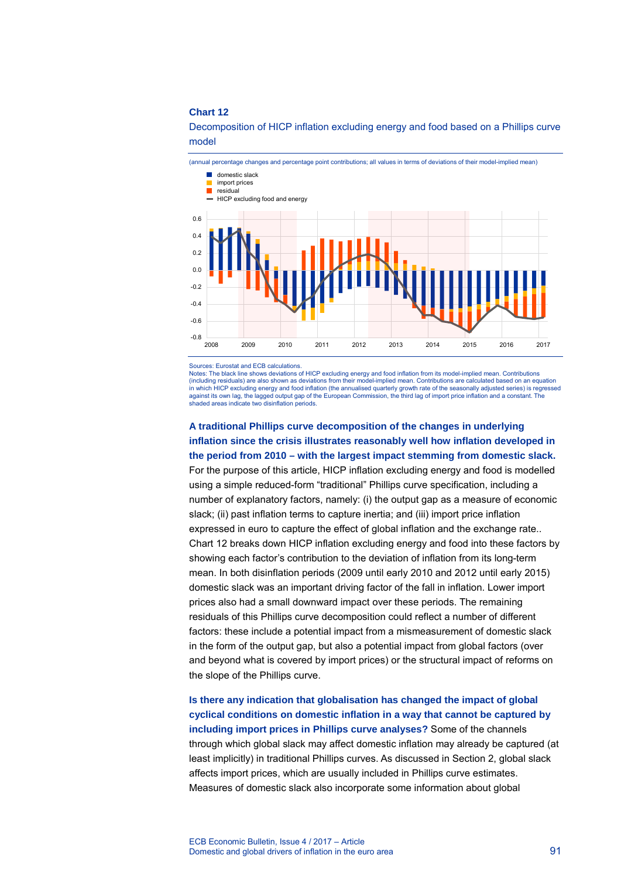(annual percentage changes and percentage point contributions; all values in terms of deviations of their model-implied mean) -0.8 -0.6  $-0.4$ -0.2 0.0 0.2 0.4 0.6 2008 2009 2010 2011 2012 2013 2014 2015 2016 2017 **domestic slack** import prices residual **HICP** excluding food and energy

Decomposition of HICP inflation excluding energy and food based on a Phillips curve model

Sources: Eurostat and ECB calculations.

Notes: The black line shows deviations of HICP excluding energy and food inflation from its model-implied mean. Contributions (including residuals) are also shown as deviations from their model-implied mean. Contributions are calculated based on an equation in which HICP excluding energy and food inflation (the annualised quarterly growth rate of the seasonally adjusted series) is regressed against its own lag, the lagged output gap of the European Commission, the third lag of import price inflation and a constant. The shaded areas indicate two disinflation periods.

**A traditional Phillips curve decomposition of the changes in underlying inflation since the crisis illustrates reasonably well how inflation developed in the period from 2010 – with the largest impact stemming from domestic slack.** For the purpose of this article, HICP inflation excluding energy and food is modelled using a simple reduced-form "traditional" Phillips curve specification, including a number of explanatory factors, namely: (i) the output gap as a measure of economic slack; (ii) past inflation terms to capture inertia; and (iii) import price inflation expressed in euro to capture the effect of global inflation and the exchange rate.. Chart 12 breaks down HICP inflation excluding energy and food into these factors by showing each factor's contribution to the deviation of inflation from its long-term mean. In both disinflation periods (2009 until early 2010 and 2012 until early 2015) domestic slack was an important driving factor of the fall in inflation. Lower import prices also had a small downward impact over these periods. The remaining residuals of this Phillips curve decomposition could reflect a number of different factors: these include a potential impact from a mismeasurement of domestic slack in the form of the output gap, but also a potential impact from global factors (over and beyond what is covered by import prices) or the structural impact of reforms on the slope of the Phillips curve.

**Is there any indication that globalisation has changed the impact of global cyclical conditions on domestic inflation in a way that cannot be captured by including import prices in Phillips curve analyses?** Some of the channels through which global slack may affect domestic inflation may already be captured (at least implicitly) in traditional Phillips curves. As discussed in Section 2, global slack affects import prices, which are usually included in Phillips curve estimates. Measures of domestic slack also incorporate some information about global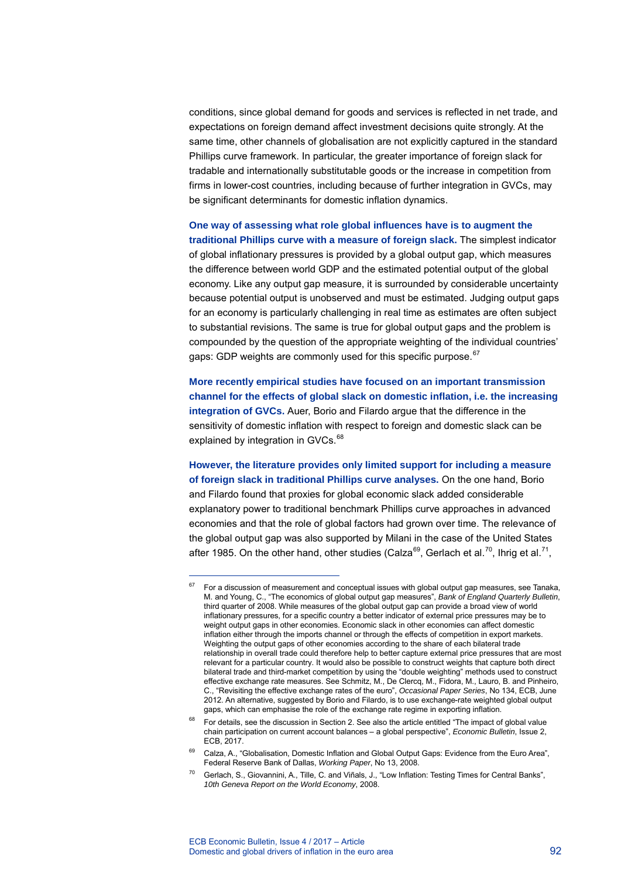conditions, since global demand for goods and services is reflected in net trade, and expectations on foreign demand affect investment decisions quite strongly. At the same time, other channels of globalisation are not explicitly captured in the standard Phillips curve framework. In particular, the greater importance of foreign slack for tradable and internationally substitutable goods or the increase in competition from firms in lower-cost countries, including because of further integration in GVCs, may be significant determinants for domestic inflation dynamics.

**One way of assessing what role global influences have is to augment the traditional Phillips curve with a measure of foreign slack.** The simplest indicator of global inflationary pressures is provided by a global output gap, which measures the difference between world GDP and the estimated potential output of the global economy. Like any output gap measure, it is surrounded by considerable uncertainty because potential output is unobserved and must be estimated. Judging output gaps for an economy is particularly challenging in real time as estimates are often subject to substantial revisions. The same is true for global output gaps and the problem is compounded by the question of the appropriate weighting of the individual countries' gaps: GDP weights are commonly used for this specific purpose.<sup>[67](#page-20-0)</sup>

**More recently empirical studies have focused on an important transmission channel for the effects of global slack on domestic inflation, i.e. the increasing integration of GVCs.** Auer, Borio and Filardo argue that the difference in the sensitivity of domestic inflation with respect to foreign and domestic slack can be explained by integration in GVCs.<sup>[68](#page-20-1)</sup>

**However, the literature provides only limited support for including a measure of foreign slack in traditional Phillips curve analyses.** On the one hand, Borio and Filardo found that proxies for global economic slack added considerable explanatory power to traditional benchmark Phillips curve approaches in advanced economies and that the role of global factors had grown over time. The relevance of the global output gap was also supported by Milani in the case of the United States after 1985. On the other hand, other studies (Calza<sup>[69](#page-20-2)</sup>, Gerlach et al.<sup>[70](#page-20-3)</sup>, Ihrig et al.<sup>[71](#page-20-4)</sup>,

<span id="page-20-0"></span><sup>67</sup> For a discussion of measurement and conceptual issues with global output gap measures, see Tanaka, M. and Young, C., "The economics of global output gap measures", *Bank of England Quarterly Bulletin*, third quarter of 2008. While measures of the global output gap can provide a broad view of world inflationary pressures, for a specific country a better indicator of external price pressures may be to weight output gaps in other economies. Economic slack in other economies can affect domestic inflation either through the imports channel or through the effects of competition in export markets. Weighting the output gaps of other economies according to the share of each bilateral trade relationship in overall trade could therefore help to better capture external price pressures that are most relevant for a particular country. It would also be possible to construct weights that capture both direct bilateral trade and third-market competition by using the "double weighting" methods used to construct effective exchange rate measures. See Schmitz, M., De Clercq, M., Fidora, M., Lauro, B. and Pinheiro, C., "Revisiting the effective exchange rates of the euro", *Occasional Paper Series*, No 134, ECB, June 2012. An alternative, suggested by Borio and Filardo, is to use exchange-rate weighted global output gaps, which can emphasise the role of the exchange rate regime in exporting inflation.

<span id="page-20-4"></span><span id="page-20-1"></span><sup>&</sup>lt;sup>68</sup> For details, see the discussion in Section 2. See also the article entitled "The impact of global value chain participation on current account balances – a global perspective", *Economic Bulletin*, Issue 2, ECB, 2017.

<span id="page-20-2"></span><sup>&</sup>lt;sup>69</sup> Calza, A., "Globalisation, Domestic Inflation and Global Output Gaps: Evidence from the Euro Area", Federal Reserve Bank of Dallas, *Working Paper*, No 13, 2008.

<span id="page-20-3"></span><sup>70</sup> Gerlach, S., Giovannini, A., Tille, C. and Viñals, J., "Low Inflation: Testing Times for Central Banks", *10th Geneva Report on the World Economy*, 2008.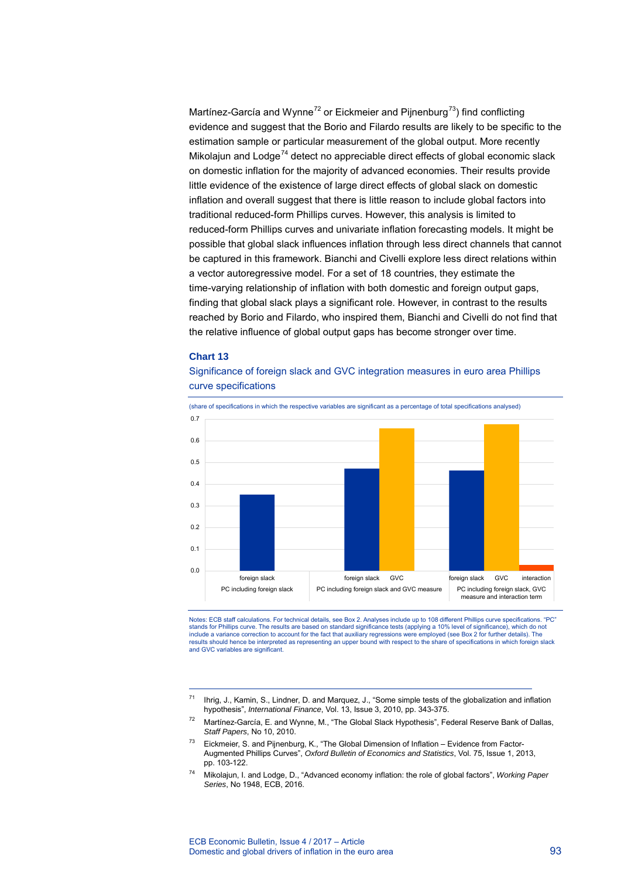Martínez-García and Wynne<sup>[72](#page-21-0)</sup> or Eickmeier and Pijnenburg<sup>[73](#page-21-1)</sup>) find conflicting evidence and suggest that the Borio and Filardo results are likely to be specific to the estimation sample or particular measurement of the global output. More recently Mikolajun and  $Lodge<sup>74</sup>$  $Lodge<sup>74</sup>$  $Lodge<sup>74</sup>$  detect no appreciable direct effects of global economic slack on domestic inflation for the majority of advanced economies. Their results provide little evidence of the existence of large direct effects of global slack on domestic inflation and overall suggest that there is little reason to include global factors into traditional reduced-form Phillips curves. However, this analysis is limited to reduced-form Phillips curves and univariate inflation forecasting models. It might be possible that global slack influences inflation through less direct channels that cannot be captured in this framework. Bianchi and Civelli explore less direct relations within a vector autoregressive model. For a set of 18 countries, they estimate the time-varying relationship of inflation with both domestic and foreign output gaps, finding that global slack plays a significant role. However, in contrast to the results reached by Borio and Filardo, who inspired them, Bianchi and Civelli do not find that the relative influence of global output gaps has become stronger over time.

### **Chart 13**

-

Significance of foreign slack and GVC integration measures in euro area Phillips curve specifications



(share of specifications in which the respective variables are significant as a percentage of total specifications analysed)

Notes: ECB staff calculations. For technical details, see Box 2. Analyses include up to 108 different Phillips curve specifications. "PC"<br>stands for Phillips curve. The results are based on standard significance tests (app include a variance correction to account for the fact that auxiliary regressions were employed (see Box 2 for further details). The<br>results should hence be interpreted as representing an upper bound with respect to the sha and GVC variables are significant.

- <span id="page-21-0"></span> $72$  Martínez-García, E. and Wynne, M., "The Global Slack Hypothesis", Federal Reserve Bank of Dallas, *Staff Papers*, No 10, 2010.
- <span id="page-21-1"></span> $73$  Eickmeier, S. and Pijnenburg, K., "The Global Dimension of Inflation – Evidence from Factor-Augmented Phillips Curves", *Oxford Bulletin of Economics and Statistics*, Vol. 75, Issue 1, 2013, pp. 103-122.
- <span id="page-21-2"></span>74 Mikolajun, I. and Lodge, D., "Advanced economy inflation: the role of global factors", *Working Paper Series*, No 1948, ECB, 2016.

<sup>71</sup> Ihrig, J., Kamin, S., Lindner, D. and Marquez, J., "Some simple tests of the globalization and inflation hypothesis", *International Finance*, Vol. 13, Issue 3, 2010, pp. 343-375.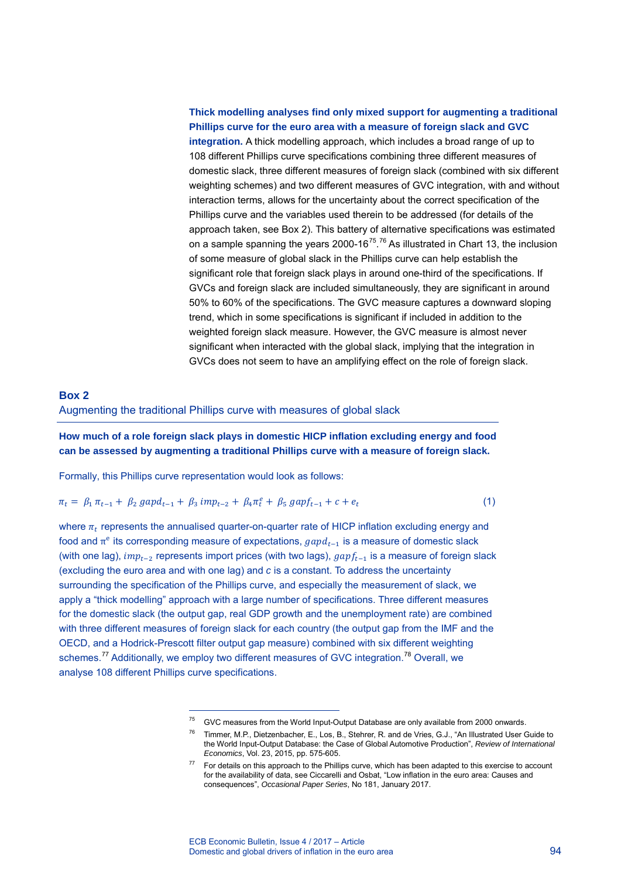### **Thick modelling analyses find only mixed support for augmenting a traditional Phillips curve for the euro area with a measure of foreign slack and GVC integration.** A thick modelling approach, which includes a broad range of up to 108 different Phillips curve specifications combining three different measures of domestic slack, three different measures of foreign slack (combined with six different weighting schemes) and two different measures of GVC integration, with and without interaction terms, allows for the uncertainty about the correct specification of the Phillips curve and the variables used therein to be addressed (for details of the approach taken, see Box 2). This battery of alternative specifications was estimated on a sample spanning the years 2000-16<sup>75</sup>.<sup>[76](#page-22-1)</sup> As illustrated in Chart 13, the inclusion of some measure of global slack in the Phillips curve can help establish the significant role that foreign slack plays in around one-third of the specifications. If GVCs and foreign slack are included simultaneously, they are significant in around 50% to 60% of the specifications. The GVC measure captures a downward sloping trend, which in some specifications is significant if included in addition to the weighted foreign slack measure. However, the GVC measure is almost never significant when interacted with the global slack, implying that the integration in GVCs does not seem to have an amplifying effect on the role of foreign slack.

### **Box 2**  Augmenting the traditional Phillips curve with measures of global slack

**How much of a role foreign slack plays in domestic HICP inflation excluding energy and food can be assessed by augmenting a traditional Phillips curve with a measure of foreign slack.**

Formally, this Phillips curve representation would look as follows:

-

$$
\pi_t = \beta_1 \pi_{t-1} + \beta_2 \text{ gapd}_{t-1} + \beta_3 \text{ imp}_{t-2} + \beta_4 \pi_t^e + \beta_5 \text{ gapf}_{t-1} + c + e_t \tag{1}
$$

where  $\pi_t$  represents the annualised quarter-on-quarter rate of HICP inflation excluding energy and food and  $\pi$ <sup>e</sup> its corresponding measure of expectations,  $gapd_{t-1}$  is a measure of domestic slack (with one lag),  $imp_{t-2}$  represents import prices (with two lags),  $gapf_{t-1}$  is a measure of foreign slack (excluding the euro area and with one lag) and *c* is a constant. To address the uncertainty surrounding the specification of the Phillips curve, and especially the measurement of slack, we apply a "thick modelling" approach with a large number of specifications. Three different measures for the domestic slack (the output gap, real GDP growth and the unemployment rate) are combined with three different measures of foreign slack for each country (the output gap from the IMF and the OECD, and a Hodrick-Prescott filter output gap measure) combined with six different weighting schemes.<sup>[77](#page-22-2)</sup> Additionally, we employ two different measures of GVC integration.<sup>[78](#page-22-3)</sup> Overall, we analyse 108 different Phillips curve specifications.

<span id="page-22-1"></span><span id="page-22-0"></span> $75$  GVC measures from the World Input-Output Database are only available from 2000 onwards.

<sup>76</sup> Timmer, M.P., Dietzenbacher, E., Los, B., Stehrer, R. and de Vries, G.J., "An Illustrated User Guide to the World Input-Output Database: the Case of Global Automotive Production", *Review of International Economics*, Vol. 23, 2015, pp. 575-605.

<span id="page-22-3"></span><span id="page-22-2"></span><sup>&</sup>lt;sup>77</sup> For details on this approach to the Phillips curve, which has been adapted to this exercise to account for the availability of data, see Ciccarelli and Osbat, "Low inflation in the euro area: Causes and consequences", *Occasional Paper Series*, No 181, January 2017.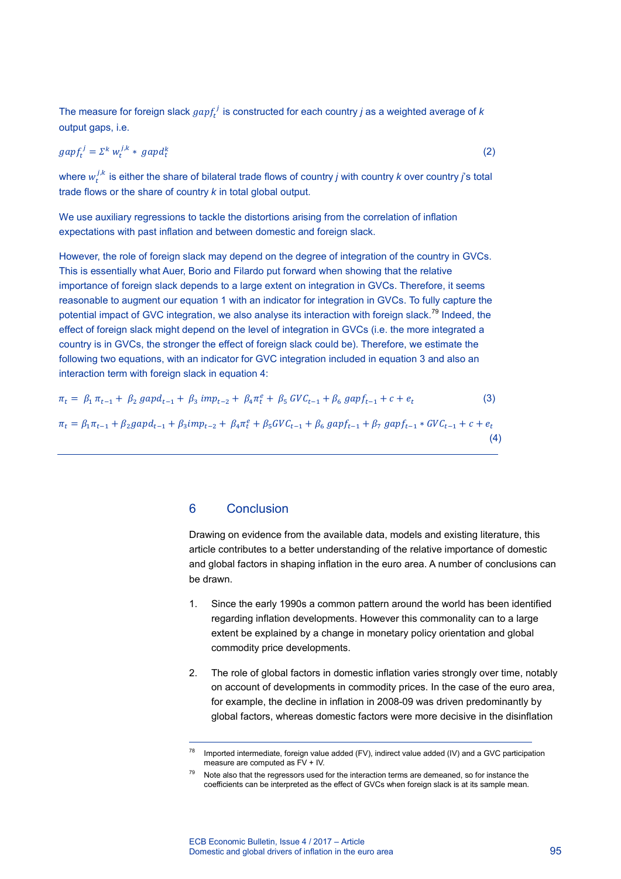The measure for foreign slack  $gap<sub>t</sub><sup>'</sup>$  is constructed for each country *j* as a weighted average of *k* output gaps, i.e.

$$
gapf_t^j = \Sigma^k w_t^{j,k} * gapd_t^k \tag{2}
$$

where  $w_t^{j,k}$  is either the share of bilateral trade flows of country *j* with country *k* over country *j*'s total trade flows or the share of country *k* in total global output.

We use auxiliary regressions to tackle the distortions arising from the correlation of inflation expectations with past inflation and between domestic and foreign slack.

However, the role of foreign slack may depend on the degree of integration of the country in GVCs. This is essentially what Auer, Borio and Filardo put forward when showing that the relative importance of foreign slack depends to a large extent on integration in GVCs. Therefore, it seems reasonable to augment our equation 1 with an indicator for integration in GVCs. To fully capture the potential impact of GVC integration, we also analyse its interaction with foreign slack.<sup>[79](#page-23-0)</sup> Indeed, the effect of foreign slack might depend on the level of integration in GVCs (i.e. the more integrated a country is in GVCs, the stronger the effect of foreign slack could be). Therefore, we estimate the following two equations, with an indicator for GVC integration included in equation 3 and also an interaction term with foreign slack in equation 4:

$$
\pi_t = \beta_1 \pi_{t-1} + \beta_2 \text{ gapd}_{t-1} + \beta_3 \text{ imp}_{t-2} + \beta_4 \pi_t^e + \beta_5 \text{ GVC}_{t-1} + \beta_6 \text{ gapf}_{t-1} + c + e_t \tag{3}
$$
\n
$$
\pi_t = \beta_1 \pi_{t-1} + \beta_2 \text{ gapd}_{t-1} + \beta_3 \text{imp}_{t-2} + \beta_4 \pi_t^e + \beta_5 \text{ GVC}_{t-1} + \beta_6 \text{ gapf}_{t-1} + \beta_7 \text{ gapf}_{t-1} * \text{ GVC}_{t-1} + c + e_t \tag{4}
$$

### 6 Conclusion

-

Drawing on evidence from the available data, models and existing literature, this article contributes to a better understanding of the relative importance of domestic and global factors in shaping inflation in the euro area. A number of conclusions can be drawn.

- 1. Since the early 1990s a common pattern around the world has been identified regarding inflation developments. However this commonality can to a large extent be explained by a change in monetary policy orientation and global commodity price developments.
- 2. The role of global factors in domestic inflation varies strongly over time, notably on account of developments in commodity prices. In the case of the euro area, for example, the decline in inflation in 2008-09 was driven predominantly by global factors, whereas domestic factors were more decisive in the disinflation

 $78$  Imported intermediate, foreign value added (FV), indirect value added (IV) and a GVC participation measure are computed as  $FV + IV$ .

<span id="page-23-0"></span> $79$  Note also that the regressors used for the interaction terms are demeaned, so for instance the coefficients can be interpreted as the effect of GVCs when foreign slack is at its sample mean.